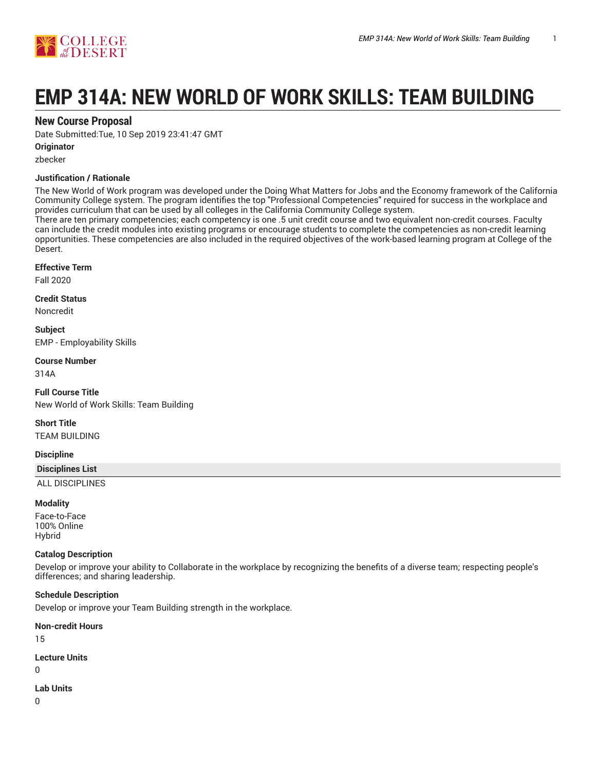

# **EMP 314A: NEW WORLD OF WORK SKILLS: TEAM BUILDING**

## **New Course Proposal**

Date Submitted:Tue, 10 Sep 2019 23:41:47 GMT

## **Originator**

zbecker

## **Justification / Rationale**

The New World of Work program was developed under the Doing What Matters for Jobs and the Economy framework of the California Community College system. The program identifies the top "Professional Competencies" required for success in the workplace and provides curriculum that can be used by all colleges in the California Community College system.

There are ten primary competencies; each competency is one .5 unit credit course and two equivalent non-credit courses. Faculty can include the credit modules into existing programs or encourage students to complete the competencies as non-credit learning opportunities. These competencies are also included in the required objectives of the work-based learning program at College of the Desert.

#### **Effective Term**

Fall 2020

#### **Credit Status**

Noncredit

**Subject** EMP - Employability Skills

## **Course Number**

314A

**Full Course Title** New World of Work Skills: Team Building

**Short Title** TEAM BUILDING

## **Discipline**

**Disciplines List**

ALL DISCIPLINES

## **Modality**

Face-to-Face 100% Online Hybrid

## **Catalog Description**

Develop or improve your ability to Collaborate in the workplace by recognizing the benefits of a diverse team; respecting people's differences; and sharing leadership.

## **Schedule Description**

Develop or improve your Team Building strength in the workplace.

**Non-credit Hours**

15

**Lecture Units**

 $\Omega$ 

**Lab Units**

0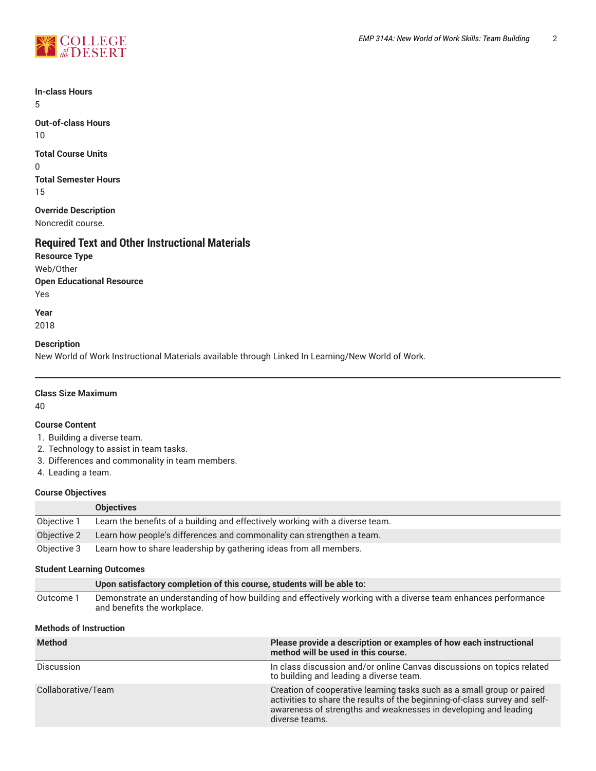

**In-class Hours** 5

**Out-of-class Hours** 10

**Total Course Units** 0 **Total Semester Hours** 15

**Override Description** Noncredit course.

# **Required Text and Other Instructional Materials**

**Resource Type** Web/Other **Open Educational Resource** Yes

**Year** 2018

## **Description**

New World of Work Instructional Materials available through Linked In Learning/New World of Work.

## **Class Size Maximum**

40

## **Course Content**

- 1. Building a diverse team.
- 2. Technology to assist in team tasks.
- 3. Differences and commonality in team members.
- 4. Leading a team.

## **Course Objectives**

|             | <b>Objectives</b>                                                             |
|-------------|-------------------------------------------------------------------------------|
| Objective 1 | Learn the benefits of a building and effectively working with a diverse team. |
| Objective 2 | Learn how people's differences and commonality can strengthen a team.         |
| Objective 3 | Learn how to share leadership by gathering ideas from all members.            |

## **Student Learning Outcomes**

|           | Upon satisfactory completion of this course, students will be able to:                                                                       |
|-----------|----------------------------------------------------------------------------------------------------------------------------------------------|
| Outcome 1 | Demonstrate an understanding of how building and effectively working with a diverse team enhances performance<br>and benefits the workplace. |

## **Methods of Instruction**

| <b>Method</b>      | Please provide a description or examples of how each instructional<br>method will be used in this course.                                                                                                                                 |
|--------------------|-------------------------------------------------------------------------------------------------------------------------------------------------------------------------------------------------------------------------------------------|
| <b>Discussion</b>  | In class discussion and/or online Canvas discussions on topics related<br>to building and leading a diverse team.                                                                                                                         |
| Collaborative/Team | Creation of cooperative learning tasks such as a small group or paired<br>activities to share the results of the beginning-of-class survey and self-<br>awareness of strengths and weaknesses in developing and leading<br>diverse teams. |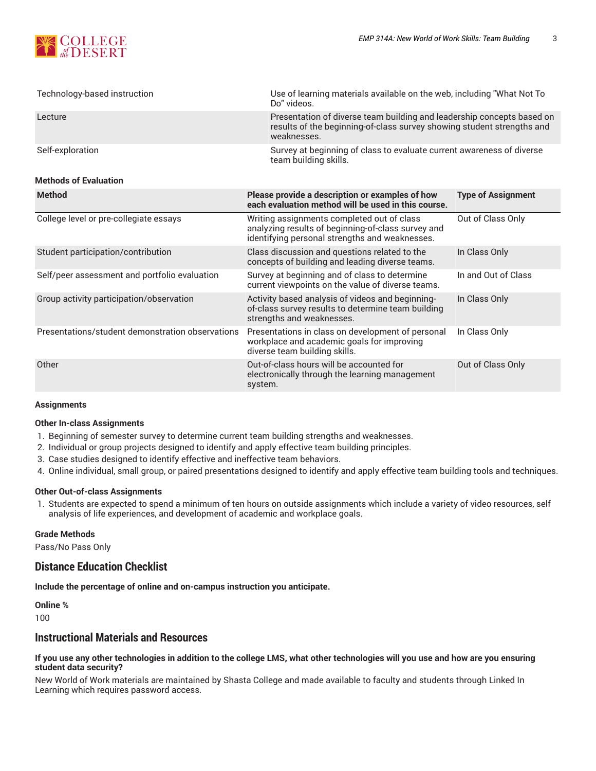

| Technology-based instruction                     | Use of learning materials available on the web, including "What Not To<br>Do" videos.                                                                           |                           |
|--------------------------------------------------|-----------------------------------------------------------------------------------------------------------------------------------------------------------------|---------------------------|
| Lecture                                          | Presentation of diverse team building and leadership concepts based on<br>results of the beginning-of-class survey showing student strengths and<br>weaknesses. |                           |
| Self-exploration<br><b>Methods of Evaluation</b> | Survey at beginning of class to evaluate current awareness of diverse<br>team building skills.                                                                  |                           |
|                                                  |                                                                                                                                                                 |                           |
| <b>Method</b>                                    | Please provide a description or examples of how<br>each evaluation method will be used in this course.                                                          | <b>Type of Assignment</b> |
| College level or pre-collegiate essays           | Writing assignments completed out of class<br>analyzing results of beginning-of-class survey and<br>identifying personal strengths and weaknesses.              | Out of Class Only         |

|                                                  | <u>Refilm yilly personal strengths and weakinesses.</u>                                                                             |                     |
|--------------------------------------------------|-------------------------------------------------------------------------------------------------------------------------------------|---------------------|
| Student participation/contribution               | Class discussion and questions related to the<br>concepts of building and leading diverse teams.                                    | In Class Only       |
| Self/peer assessment and portfolio evaluation    | Survey at beginning and of class to determine<br>current viewpoints on the value of diverse teams.                                  | In and Out of Class |
| Group activity participation/observation         | Activity based analysis of videos and beginning-<br>of-class survey results to determine team building<br>strengths and weaknesses. | In Class Only       |
| Presentations/student demonstration observations | Presentations in class on development of personal<br>workplace and academic goals for improving<br>diverse team building skills.    | In Class Only       |
| Other                                            | Out-of-class hours will be accounted for<br>electronically through the learning management<br>system.                               | Out of Class Only   |

## **Assignments**

## **Other In-class Assignments**

- 1. Beginning of semester survey to determine current team building strengths and weaknesses.
- 2. Individual or group projects designed to identify and apply effective team building principles.
- 3. Case studies designed to identify effective and ineffective team behaviors.
- 4. Online individual, small group, or paired presentations designed to identify and apply effective team building tools and techniques.

## **Other Out-of-class Assignments**

1. Students are expected to spend a minimum of ten hours on outside assignments which include a variety of video resources, self analysis of life experiences, and development of academic and workplace goals.

#### **Grade Methods**

Pass/No Pass Only

## **Distance Education Checklist**

**Include the percentage of online and on-campus instruction you anticipate.**

## **Online %**

100

## **Instructional Materials and Resources**

#### If you use any other technologies in addition to the college LMS, what other technologies will you use and how are you ensuring **student data security?**

New World of Work materials are maintained by Shasta College and made available to faculty and students through Linked In Learning which requires password access.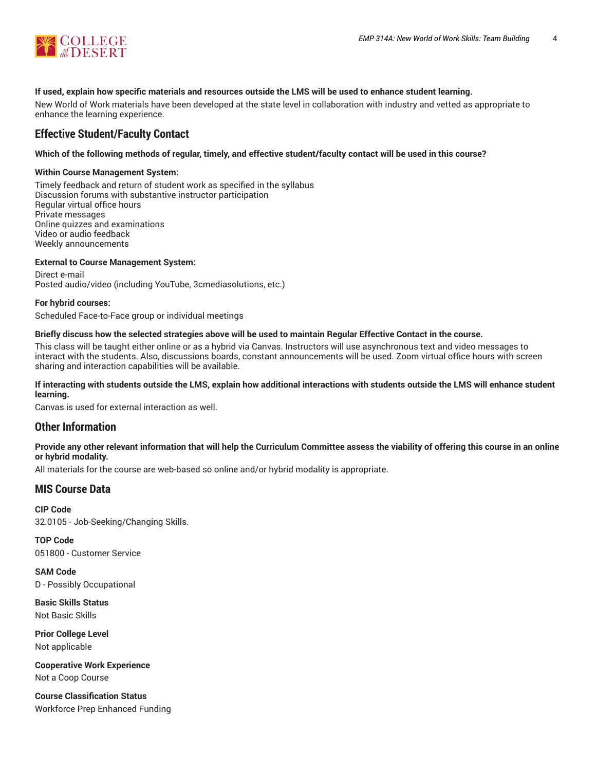

## **If used, explain how specific materials and resources outside the LMS will be used to enhance student learning.**

New World of Work materials have been developed at the state level in collaboration with industry and vetted as appropriate to enhance the learning experience.

## **Effective Student/Faculty Contact**

## Which of the following methods of regular, timely, and effective student/faculty contact will be used in this course?

#### **Within Course Management System:**

Timely feedback and return of student work as specified in the syllabus Discussion forums with substantive instructor participation Regular virtual office hours Private messages Online quizzes and examinations Video or audio feedback Weekly announcements

## **External to Course Management System:**

Direct e-mail Posted audio/video (including YouTube, 3cmediasolutions, etc.)

#### **For hybrid courses:**

Scheduled Face-to-Face group or individual meetings

#### Briefly discuss how the selected strategies above will be used to maintain Regular Effective Contact in the course.

This class will be taught either online or as a hybrid via Canvas. Instructors will use asynchronous text and video messages to interact with the students. Also, discussions boards, constant announcements will be used. Zoom virtual office hours with screen sharing and interaction capabilities will be available.

## **If interacting with students outside the LMS, explain how additional interactions with students outside the LMS will enhance student learning.**

Canvas is used for external interaction as well.

## **Other Information**

## Provide any other relevant information that will help the Curriculum Committee assess the viability of offering this course in an online **or hybrid modality.**

All materials for the course are web-based so online and/or hybrid modality is appropriate.

## **MIS Course Data**

**CIP Code** 32.0105 - Job-Seeking/Changing Skills.

**TOP Code** 051800 - Customer Service

**SAM Code** D - Possibly Occupational

**Basic Skills Status** Not Basic Skills

**Prior College Level** Not applicable

**Cooperative Work Experience** Not a Coop Course

**Course Classification Status** Workforce Prep Enhanced Funding